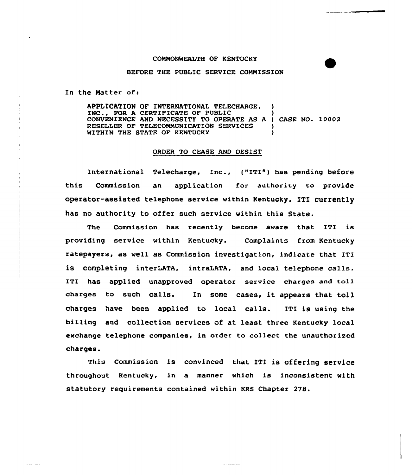## COMMONWEALTH OF KENTUCKY

## BEFORE THE PUBLIC SERVICE COMMISSION

In the Natter oE:

 $\cdots \cdots \cdots \cdots$ 

APPLICATION OF INTERNATIONAL TELECHARGE, INC., FOR <sup>A</sup> CERTIFICATE OF PUBLIC ) CONVENIENCE AND NECESSITY TO OPERATE AS <sup>A</sup> ) CASE NO. 10002 RESELLER OF TELECOMMUNICATION SERVICES WITHIN THE STATE OF KENTUCKY

## ORDER TO CEASE AND DESIST

International Telecharge, Inc., ("ITI") has pending before this Commission an application for authority to provide operator-assisted telephone service within Kentucky. ITI currently has no authority to offer such service within this State.

The Commission has recently become aware that ITI is providing service within Kentucky. Complaints from Kentucky ratepayers, as well as Commission investigation, indicate that ITI is completing interLATA, intraLATA, and local telephone calls. ITI has applied unapproved operator service charges and toll charges to such calls. In some cases, it appears that toll charges have been applied to local calls. ITI is using the billing and collection services of at least three Kentucky local exchange telephone companies, in order to collect the unauthorized charges.

This Commission is convinced that ITI is offering service throughout Kentucky, in a manner which is inconsistent with statutory requirements contained within KRS Chapter 278.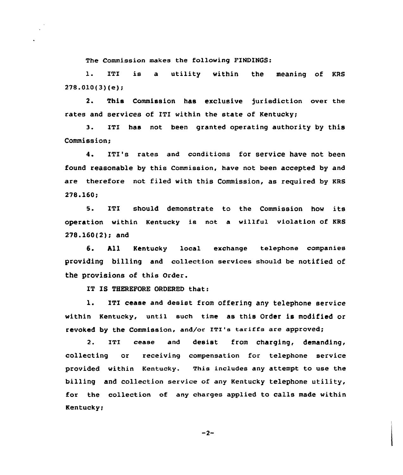The Commission makes the following FINDINGS:

1. ITI is <sup>a</sup> utility within the meaning of KRS 278.010(3)(e);

2. This Commission has exclusive jurisdiction over the rates and services of ITI within the state of Kentucky;

3. ITI has not been granted operating authority by this Commission;

4. ITI's rates and conditions for service have not been found reasonable by this Commission, have not been accepted by and are therefore not filed with this Commission, as required by KRS 278.160;

5. ITI should demonstrate to the Commission how its operation within Kentucky is not a willful violation of KRS 278.160(2); and

6. All Kentucky local exchange telephone companies providing billing and collection services should be notified of the provisions of this Order.

IT IS THEREFORE ORDERED that:

l. ITI cease and desist from offering any telephone service within Kentucky, until such time as this Order is modified or revoked by the Commission, and/or ITI's tariffs are approved;

2. ITI cease and desist from charging, demanding, collecting or receiving compensation for telephone service provided within Kentucky. This includes any attempt to use the billing and collection service of any Kentucky telephone utility, for the collection of any charges applied to calls made within Kentucky;

 $-2-$